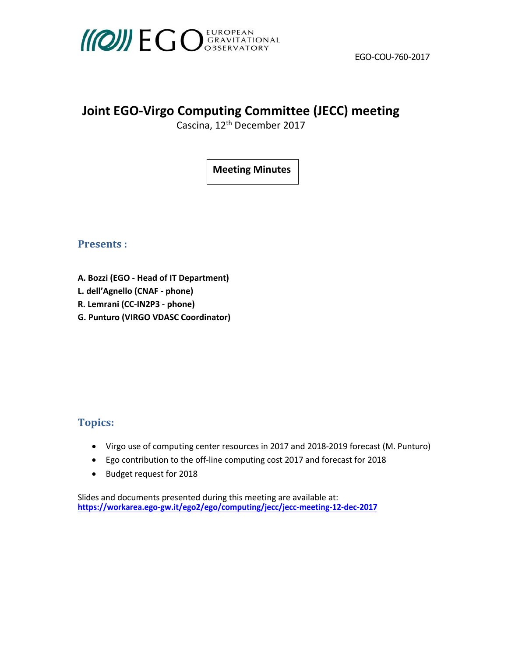

# **Joint EGO‐Virgo Computing Committee (JECC) meeting**

Cascina, 12<sup>th</sup> December 2017

**Meeting Minutes**

**Presents** :

- **A. Bozzi (EGO ‐ Head of IT Department)**
- **L. dell'Agnello (CNAF ‐ phone)**
- **R. Lemrani (CC‐IN2P3 ‐ phone)**
- **G. Punturo (VIRGO VDASC Coordinator)**

# **Topics:**

- Virgo use of computing center resources in 2017 and 2018-2019 forecast (M. Punturo)
- Ego contribution to the off‐line computing cost 2017 and forecast for 2018
- Budget request for 2018

Slides and documents presented during this meeting are available at: **https://workarea.ego-gw.it/ego2/ego/computing/jecc/jecc-meeting-12-dec-2017**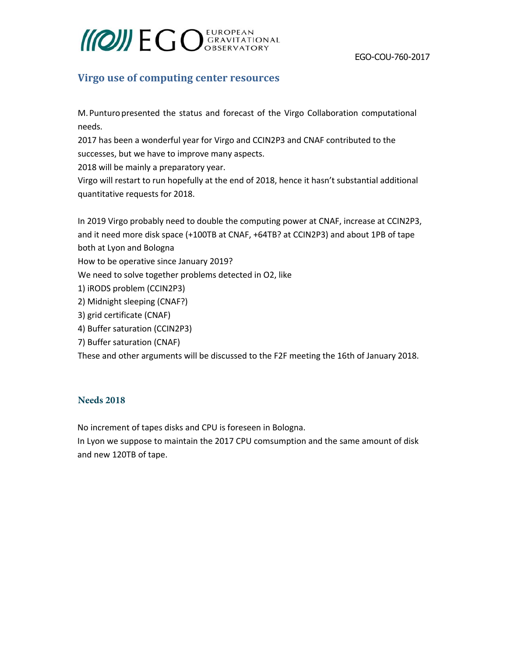# **MOINE GO** GRAVITATIONAL

## **Virgo use of computing center resources**

M. Punturo presented the status and forecast of the Virgo Collaboration computational needs.

2017 has been a wonderful year for Virgo and CCIN2P3 and CNAF contributed to the successes, but we have to improve many aspects.

2018 will be mainly a preparatory year.

Virgo will restart to run hopefully at the end of 2018, hence it hasn't substantial additional quantitative requests for 2018.

In 2019 Virgo probably need to double the computing power at CNAF, increase at CCIN2P3, and it need more disk space (+100TB at CNAF, +64TB? at CCIN2P3) and about 1PB of tape both at Lyon and Bologna How to be operative since January 2019? We need to solve together problems detected in O2, like 1) iRODS problem (CCIN2P3) 2) Midnight sleeping (CNAF?) 3) grid certificate (CNAF) 4) Buffer saturation (CCIN2P3) 7) Buffer saturation (CNAF) These and other arguments will be discussed to the F2F meeting the 16th of January 2018.

#### **Needs 2018**

No increment of tapes disks and CPU is foreseen in Bologna.

In Lyon we suppose to maintain the 2017 CPU comsumption and the same amount of disk and new 120TB of tape.